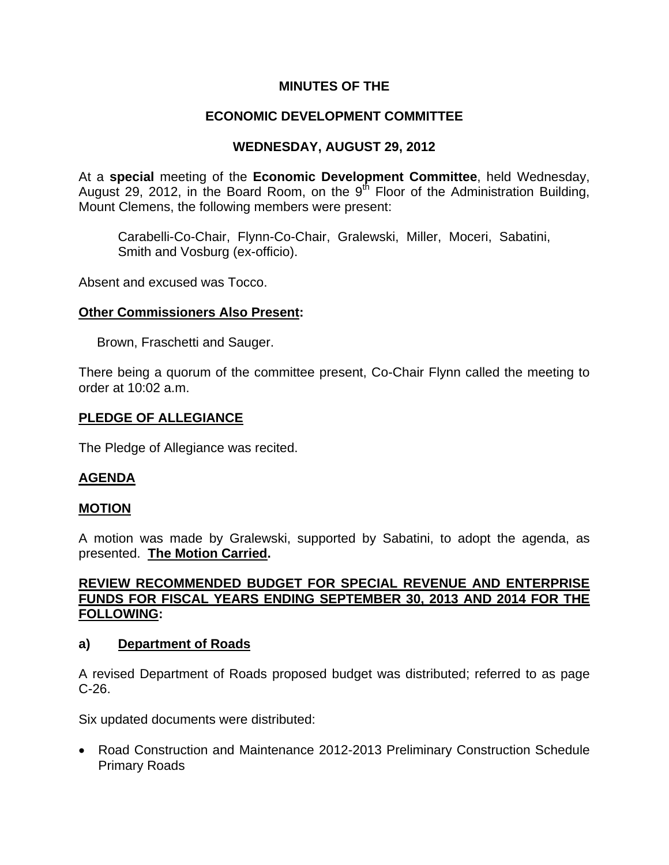# **MINUTES OF THE**

# **ECONOMIC DEVELOPMENT COMMITTEE**

# **WEDNESDAY, AUGUST 29, 2012**

At a **special** meeting of the **Economic Development Committee**, held Wednesday, August 29, 2012, in the Board Room, on the  $9<sup>th</sup>$  Floor of the Administration Building, Mount Clemens, the following members were present:

Carabelli-Co-Chair, Flynn-Co-Chair, Gralewski, Miller, Moceri, Sabatini, Smith and Vosburg (ex-officio).

Absent and excused was Tocco.

### **Other Commissioners Also Present:**

Brown, Fraschetti and Sauger.

There being a quorum of the committee present, Co-Chair Flynn called the meeting to order at 10:02 a.m.

### **PLEDGE OF ALLEGIANCE**

The Pledge of Allegiance was recited.

### **AGENDA**

#### **MOTION**

A motion was made by Gralewski, supported by Sabatini, to adopt the agenda, as presented. **The Motion Carried.** 

### **REVIEW RECOMMENDED BUDGET FOR SPECIAL REVENUE AND ENTERPRISE FUNDS FOR FISCAL YEARS ENDING SEPTEMBER 30, 2013 AND 2014 FOR THE FOLLOWING:**

#### **a) Department of Roads**

A revised Department of Roads proposed budget was distributed; referred to as page C-26.

Six updated documents were distributed:

• Road Construction and Maintenance 2012-2013 Preliminary Construction Schedule Primary Roads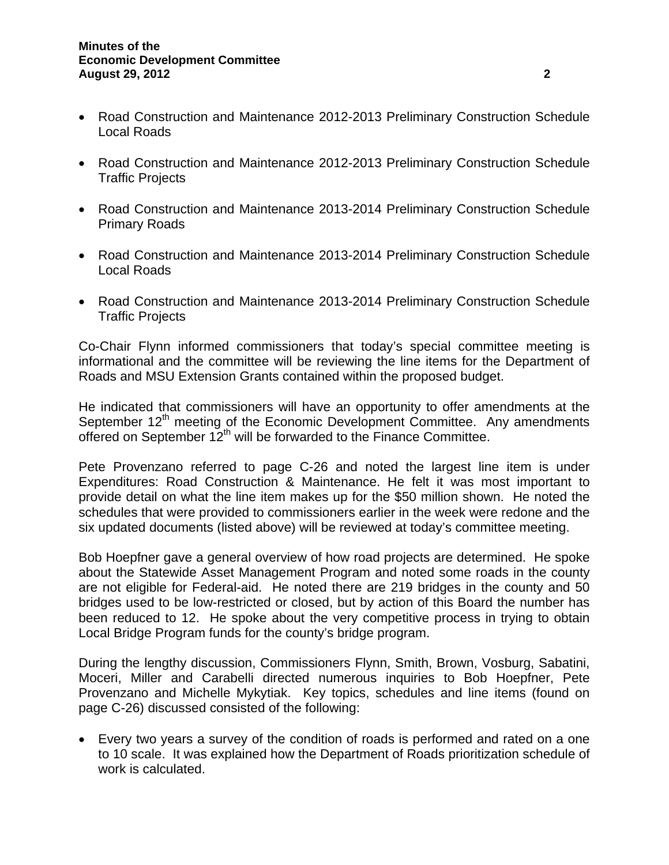- Road Construction and Maintenance 2012-2013 Preliminary Construction Schedule Local Roads
- Road Construction and Maintenance 2012-2013 Preliminary Construction Schedule Traffic Projects
- Road Construction and Maintenance 2013-2014 Preliminary Construction Schedule Primary Roads
- Road Construction and Maintenance 2013-2014 Preliminary Construction Schedule Local Roads
- Road Construction and Maintenance 2013-2014 Preliminary Construction Schedule Traffic Projects

Co-Chair Flynn informed commissioners that today's special committee meeting is informational and the committee will be reviewing the line items for the Department of Roads and MSU Extension Grants contained within the proposed budget.

He indicated that commissioners will have an opportunity to offer amendments at the September  $12<sup>th</sup>$  meeting of the Economic Development Committee. Any amendments offered on September  $12^{th}$  will be forwarded to the Finance Committee.

Pete Provenzano referred to page C-26 and noted the largest line item is under Expenditures: Road Construction & Maintenance. He felt it was most important to provide detail on what the line item makes up for the \$50 million shown. He noted the schedules that were provided to commissioners earlier in the week were redone and the six updated documents (listed above) will be reviewed at today's committee meeting.

Bob Hoepfner gave a general overview of how road projects are determined. He spoke about the Statewide Asset Management Program and noted some roads in the county are not eligible for Federal-aid. He noted there are 219 bridges in the county and 50 bridges used to be low-restricted or closed, but by action of this Board the number has been reduced to 12. He spoke about the very competitive process in trying to obtain Local Bridge Program funds for the county's bridge program.

During the lengthy discussion, Commissioners Flynn, Smith, Brown, Vosburg, Sabatini, Moceri, Miller and Carabelli directed numerous inquiries to Bob Hoepfner, Pete Provenzano and Michelle Mykytiak. Key topics, schedules and line items (found on page C-26) discussed consisted of the following:

• Every two years a survey of the condition of roads is performed and rated on a one to 10 scale. It was explained how the Department of Roads prioritization schedule of work is calculated.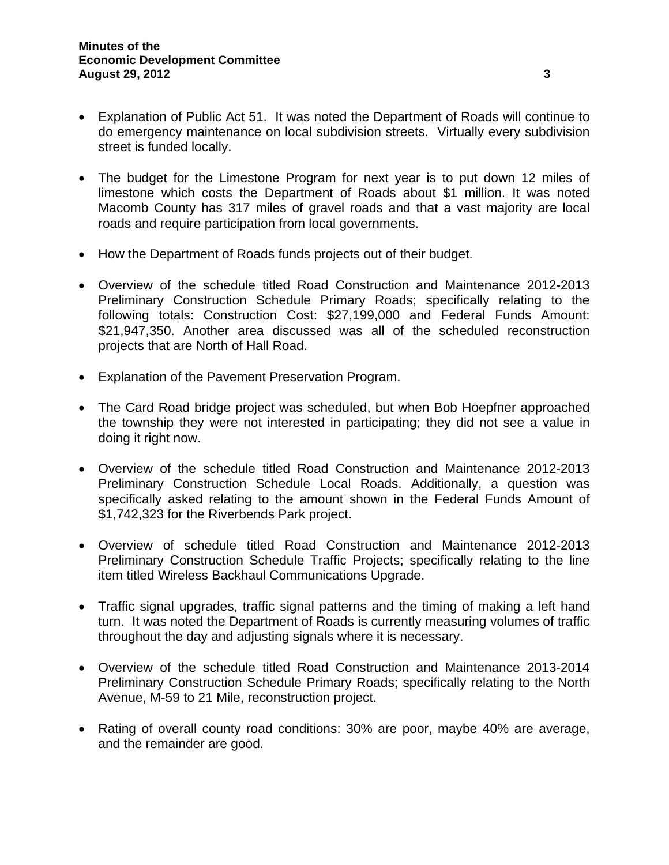- Explanation of Public Act 51. It was noted the Department of Roads will continue to do emergency maintenance on local subdivision streets. Virtually every subdivision street is funded locally.
- The budget for the Limestone Program for next year is to put down 12 miles of limestone which costs the Department of Roads about \$1 million. It was noted Macomb County has 317 miles of gravel roads and that a vast majority are local roads and require participation from local governments.
- How the Department of Roads funds projects out of their budget.
- Overview of the schedule titled Road Construction and Maintenance 2012-2013 Preliminary Construction Schedule Primary Roads; specifically relating to the following totals: Construction Cost: \$27,199,000 and Federal Funds Amount: \$21,947,350. Another area discussed was all of the scheduled reconstruction projects that are North of Hall Road.
- Explanation of the Pavement Preservation Program.
- The Card Road bridge project was scheduled, but when Bob Hoepfner approached the township they were not interested in participating; they did not see a value in doing it right now.
- Overview of the schedule titled Road Construction and Maintenance 2012-2013 Preliminary Construction Schedule Local Roads. Additionally, a question was specifically asked relating to the amount shown in the Federal Funds Amount of \$1,742,323 for the Riverbends Park project.
- Overview of schedule titled Road Construction and Maintenance 2012-2013 Preliminary Construction Schedule Traffic Projects; specifically relating to the line item titled Wireless Backhaul Communications Upgrade.
- Traffic signal upgrades, traffic signal patterns and the timing of making a left hand turn. It was noted the Department of Roads is currently measuring volumes of traffic throughout the day and adjusting signals where it is necessary.
- Overview of the schedule titled Road Construction and Maintenance 2013-2014 Preliminary Construction Schedule Primary Roads; specifically relating to the North Avenue, M-59 to 21 Mile, reconstruction project.
- Rating of overall county road conditions: 30% are poor, maybe 40% are average, and the remainder are good.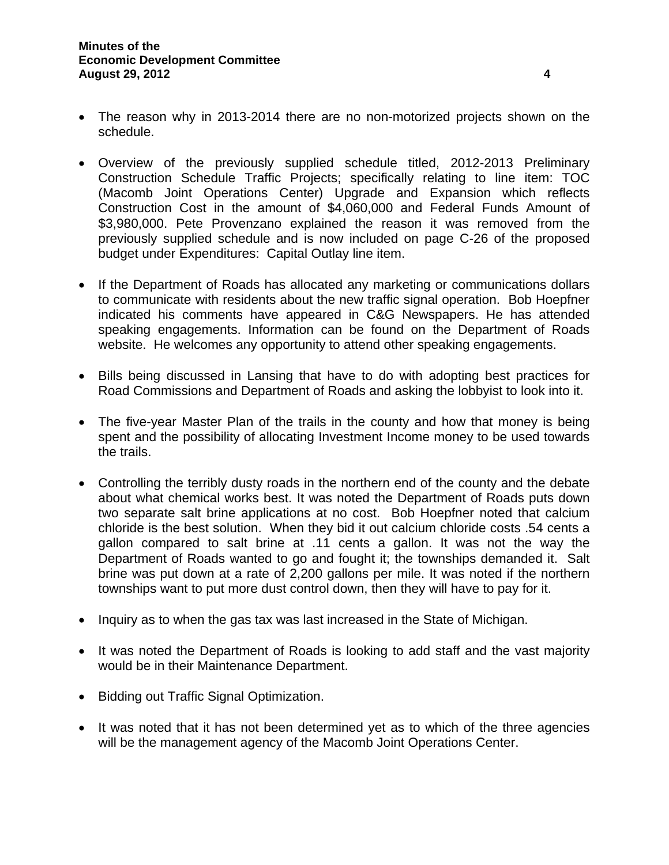- The reason why in 2013-2014 there are no non-motorized projects shown on the schedule.
- Overview of the previously supplied schedule titled, 2012-2013 Preliminary Construction Schedule Traffic Projects; specifically relating to line item: TOC (Macomb Joint Operations Center) Upgrade and Expansion which reflects Construction Cost in the amount of \$4,060,000 and Federal Funds Amount of \$3,980,000. Pete Provenzano explained the reason it was removed from the previously supplied schedule and is now included on page C-26 of the proposed budget under Expenditures: Capital Outlay line item.
- If the Department of Roads has allocated any marketing or communications dollars to communicate with residents about the new traffic signal operation. Bob Hoepfner indicated his comments have appeared in C&G Newspapers. He has attended speaking engagements. Information can be found on the Department of Roads website. He welcomes any opportunity to attend other speaking engagements.
- Bills being discussed in Lansing that have to do with adopting best practices for Road Commissions and Department of Roads and asking the lobbyist to look into it.
- The five-year Master Plan of the trails in the county and how that money is being spent and the possibility of allocating Investment Income money to be used towards the trails.
- Controlling the terribly dusty roads in the northern end of the county and the debate about what chemical works best. It was noted the Department of Roads puts down two separate salt brine applications at no cost. Bob Hoepfner noted that calcium chloride is the best solution. When they bid it out calcium chloride costs .54 cents a gallon compared to salt brine at .11 cents a gallon. It was not the way the Department of Roads wanted to go and fought it; the townships demanded it. Salt brine was put down at a rate of 2,200 gallons per mile. It was noted if the northern townships want to put more dust control down, then they will have to pay for it.
- Inquiry as to when the gas tax was last increased in the State of Michigan.
- It was noted the Department of Roads is looking to add staff and the vast majority would be in their Maintenance Department.
- Bidding out Traffic Signal Optimization.
- It was noted that it has not been determined yet as to which of the three agencies will be the management agency of the Macomb Joint Operations Center.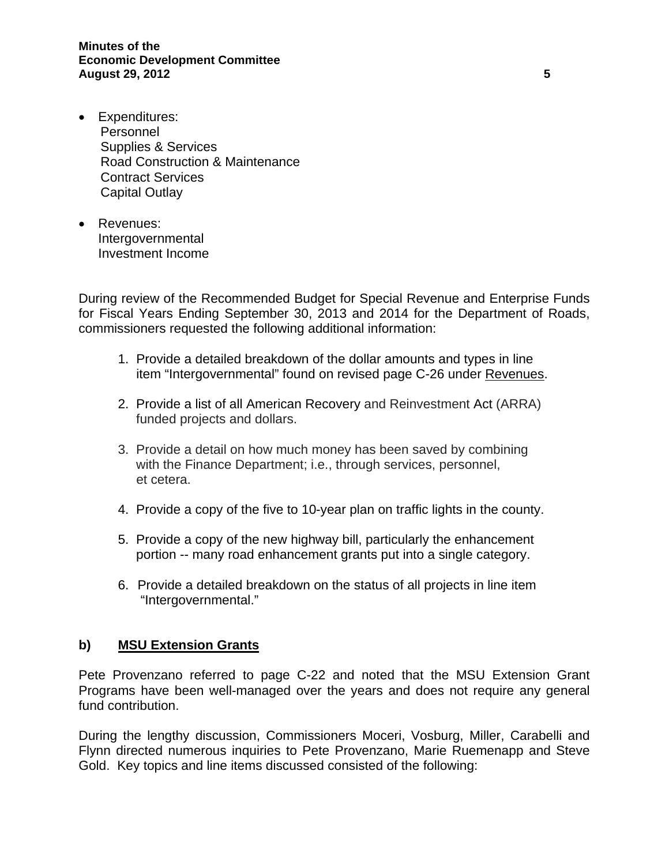- Expenditures: Personnel Supplies & Services Road Construction & Maintenance Contract Services Capital Outlay
- Revenues: Intergovernmental Investment Income

During review of the Recommended Budget for Special Revenue and Enterprise Funds for Fiscal Years Ending September 30, 2013 and 2014 for the Department of Roads, commissioners requested the following additional information:

- 1. Provide a detailed breakdown of the dollar amounts and types in line item "Intergovernmental" found on revised page C-26 under Revenues.
- 2. Provide a list of all American Recovery and Reinvestment Act (ARRA) funded projects and dollars.
- 3. Provide a detail on how much money has been saved by combining with the Finance Department; i.e., through services, personnel, et cetera.
- 4. Provide a copy of the five to 10-year plan on traffic lights in the county.
- 5. Provide a copy of the new highway bill, particularly the enhancement portion -- many road enhancement grants put into a single category.
- 6. Provide a detailed breakdown on the status of all projects in line item "Intergovernmental."

### **b) MSU Extension Grants**

Pete Provenzano referred to page C-22 and noted that the MSU Extension Grant Programs have been well-managed over the years and does not require any general fund contribution.

During the lengthy discussion, Commissioners Moceri, Vosburg, Miller, Carabelli and Flynn directed numerous inquiries to Pete Provenzano, Marie Ruemenapp and Steve Gold. Key topics and line items discussed consisted of the following: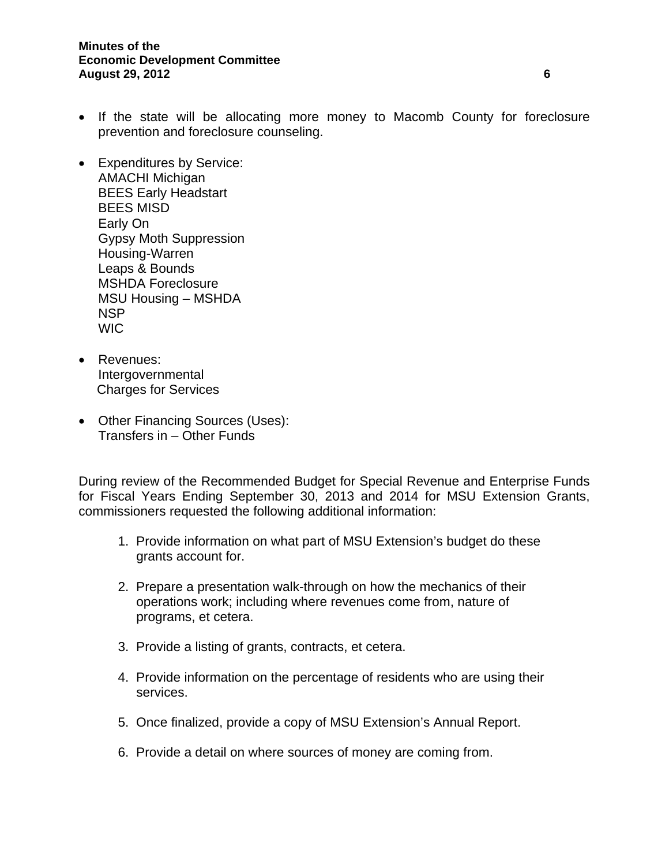- If the state will be allocating more money to Macomb County for foreclosure prevention and foreclosure counseling.
- Expenditures by Service: AMACHI Michigan BEES Early Headstart BEES MISD Early On Gypsy Moth Suppression Housing-Warren Leaps & Bounds MSHDA Foreclosure MSU Housing – MSHDA NSP **WIC**
- Revenues: Intergovernmental Charges for Services
- Other Financing Sources (Uses): Transfers in – Other Funds

During review of the Recommended Budget for Special Revenue and Enterprise Funds for Fiscal Years Ending September 30, 2013 and 2014 for MSU Extension Grants, commissioners requested the following additional information:

- 1. Provide information on what part of MSU Extension's budget do these grants account for.
- 2. Prepare a presentation walk-through on how the mechanics of their operations work; including where revenues come from, nature of programs, et cetera.
- 3. Provide a listing of grants, contracts, et cetera.
- 4. Provide information on the percentage of residents who are using their services.
- 5. Once finalized, provide a copy of MSU Extension's Annual Report.
- 6. Provide a detail on where sources of money are coming from.